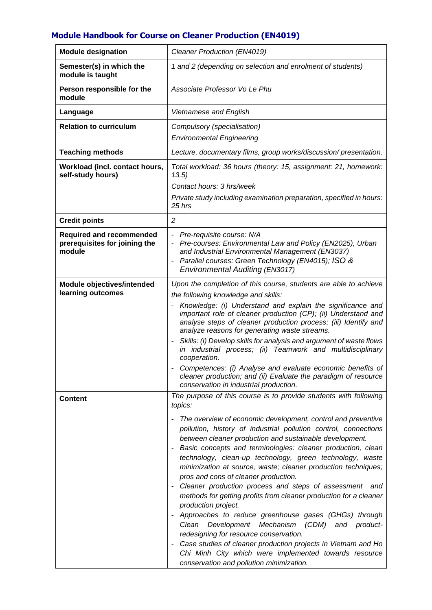## **Module Handbook for Course on Cleaner Production (EN4019)**

| <b>Module designation</b>                                                  | Cleaner Production (EN4019)                                                                                                                                                                                                                                                                                                                                                                                                                                                                                                                                                                                                                                                                                                                                                                                                                                                                                                                                                                                 |
|----------------------------------------------------------------------------|-------------------------------------------------------------------------------------------------------------------------------------------------------------------------------------------------------------------------------------------------------------------------------------------------------------------------------------------------------------------------------------------------------------------------------------------------------------------------------------------------------------------------------------------------------------------------------------------------------------------------------------------------------------------------------------------------------------------------------------------------------------------------------------------------------------------------------------------------------------------------------------------------------------------------------------------------------------------------------------------------------------|
| Semester(s) in which the<br>module is taught                               | 1 and 2 (depending on selection and enrolment of students)                                                                                                                                                                                                                                                                                                                                                                                                                                                                                                                                                                                                                                                                                                                                                                                                                                                                                                                                                  |
| Person responsible for the<br>module                                       | Associate Professor Vo Le Phu                                                                                                                                                                                                                                                                                                                                                                                                                                                                                                                                                                                                                                                                                                                                                                                                                                                                                                                                                                               |
| Language                                                                   | Vietnamese and English                                                                                                                                                                                                                                                                                                                                                                                                                                                                                                                                                                                                                                                                                                                                                                                                                                                                                                                                                                                      |
| <b>Relation to curriculum</b>                                              | Compulsory (specialisation)                                                                                                                                                                                                                                                                                                                                                                                                                                                                                                                                                                                                                                                                                                                                                                                                                                                                                                                                                                                 |
|                                                                            | <b>Environmental Engineering</b>                                                                                                                                                                                                                                                                                                                                                                                                                                                                                                                                                                                                                                                                                                                                                                                                                                                                                                                                                                            |
| <b>Teaching methods</b>                                                    | Lecture, documentary films, group works/discussion/presentation.                                                                                                                                                                                                                                                                                                                                                                                                                                                                                                                                                                                                                                                                                                                                                                                                                                                                                                                                            |
| Workload (incl. contact hours,<br>self-study hours)                        | Total workload: 36 hours (theory: 15, assignment: 21, homework:<br>13.5)                                                                                                                                                                                                                                                                                                                                                                                                                                                                                                                                                                                                                                                                                                                                                                                                                                                                                                                                    |
|                                                                            | Contact hours: 3 hrs/week                                                                                                                                                                                                                                                                                                                                                                                                                                                                                                                                                                                                                                                                                                                                                                                                                                                                                                                                                                                   |
|                                                                            | Private study including examination preparation, specified in hours:<br>25 hrs                                                                                                                                                                                                                                                                                                                                                                                                                                                                                                                                                                                                                                                                                                                                                                                                                                                                                                                              |
| <b>Credit points</b>                                                       | $\overline{c}$                                                                                                                                                                                                                                                                                                                                                                                                                                                                                                                                                                                                                                                                                                                                                                                                                                                                                                                                                                                              |
| <b>Required and recommended</b><br>prerequisites for joining the<br>module | - Pre-requisite course: N/A<br>Pre-courses: Environmental Law and Policy (EN2025), Urban<br>and Industrial Environmental Management (EN3037)<br>Parallel courses: Green Technology (EN4015); ISO &<br><b>Environmental Auditing (EN3017)</b>                                                                                                                                                                                                                                                                                                                                                                                                                                                                                                                                                                                                                                                                                                                                                                |
| Module objectives/intended<br>learning outcomes                            | Upon the completion of this course, students are able to achieve<br>the following knowledge and skills:<br>Knowledge: (i) Understand and explain the significance and<br>important role of cleaner production (CP); (ii) Understand and<br>analyse steps of cleaner production process; (iii) Identify and<br>analyze reasons for generating waste streams.<br>Skills: (i) Develop skills for analysis and argument of waste flows<br>$\overline{\phantom{a}}$<br>in industrial process; (ii) Teamwork and multidisciplinary<br>cooperation.<br>Competences: (i) Analyse and evaluate economic benefits of<br>cleaner production; and (ii) Evaluate the paradigm of resource<br>conservation in industrial production.                                                                                                                                                                                                                                                                                      |
| <b>Content</b>                                                             | The purpose of this course is to provide students with following<br>topics:<br>The overview of economic development, control and preventive<br>۰<br>pollution, history of industrial pollution control, connections<br>between cleaner production and sustainable development.<br>Basic concepts and terminologies: cleaner production, clean<br>technology, clean-up technology, green technology, waste<br>minimization at source, waste; cleaner production techniques;<br>pros and cons of cleaner production.<br>Cleaner production process and steps of assessment and<br>methods for getting profits from cleaner production for a cleaner<br>production project.<br>Approaches to reduce greenhouse gases (GHGs) through<br>Development Mechanism<br>(CDM) and<br>Clean<br>product-<br>redesigning for resource conservation.<br>Case studies of cleaner production projects in Vietnam and Ho<br>Chi Minh City which were implemented towards resource<br>conservation and pollution minimization. |